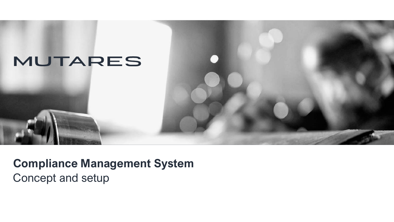

**Compliance Management System** Concept and setup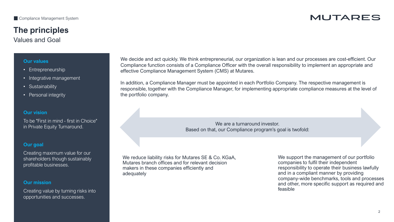# **The principles**

Values and Goal

#### **Our values**

- Entrepreneurship
- Integrative management
- Sustainability
- Personal integrity

#### **Our vision**

To be "First in mind - first in Choice" in Private Equity Turnaround.

#### **Our goal**

Creating maximum value for our shareholders though sustainably profitable businesses.

#### **Our mission**

Creating value by turning risks into opportunities and successes.

We decide and act quickly. We think entrepreneurial, our organization is lean and our processes are cost-efficient. Our Compliance function consists of a Compliance Officer with the overall responsibility to implement an appropriate and effective Compliance Management System (CMS) at Mutares.

In addition, a Compliance Manager must be appointed in each Portfolio Company. The respective management is responsible, together with the Compliance Manager, for implementing appropriate compliance measures at the level of the portfolio company.

> We are a turnaround investor. Based on that, our Compliance program's goal is twofold:

We reduce liability risks for Mutares SE & Co. KGaA, Mutares branch offices and for relevant decision makers in these companies efficiently and adequately

We support the management of our portfolio companies to fulfil their independent responsibility to operate their business lawfully and in a compliant manner by providing company-wide benchmarks, tools and processes and other, more specific support as required and feasible

## **MUTARES**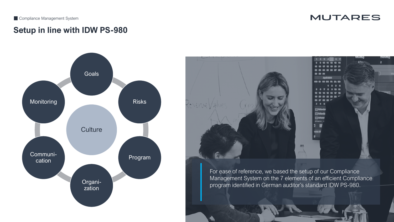**MUTARES** 

### **Setup in line with IDW PS-980**





For ease of reference, we based the setup of our Compliance Management System on the 7 elements of an efficient Compliance program identified in German auditor's standard IDW PS-980.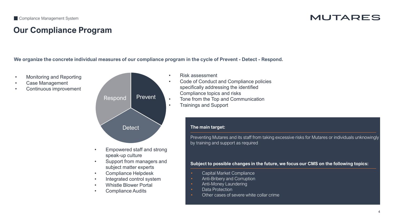# **Our Compliance Program**

**We organize the concrete individual measures of our compliance program in the cycle of Prevent - Detect - Respond.**

- Monitoring and Reporting
- Case Management
- Continuous improvement



- Empowered staff and strong speak-up culture
- Support from managers and subject matter experts
- Compliance Helpdesk
- Integrated control system
- Whistle Blower Portal
- Compliance Audits
- Risk assessment
- Code of Conduct and Compliance policies specifically addressing the identified Compliance topics and risks
- Tone from the Top and Communication
- Trainings and Support

#### **The main target:**

Preventing Mutares and its staff from taking excessive risks for Mutares or individuals unknowingly by training and support as required

**Subject to possible changes in the future, we focus our CMS on the following topics:**

- Capital Market Compliance
- Anti-Bribery and Corruption
- Anti-Money Laundering
- Data Protection
- Other cases of severe white collar crime

## MUTARES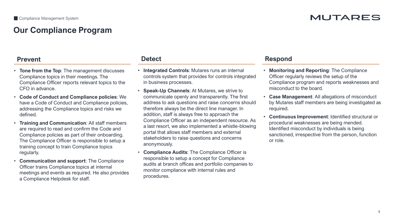## **Our Compliance Program**

## **MUTARES**

- **Tone from the Top**: The management discusses Compliance topics in their meetings. The Compliance Officer reports relevant topics to the CFO in advance.
- **Code of Conduct and Compliance policies**: We have a Code of Conduct and Compliance policies, addressing the Compliance topics and risks we defined.
- **Training and Communication**: All staff members are required to read and confirm the Code and Compliance policies as part of their onboarding. The Compliance Officer is responsible to setup a training concept to train Compliance topics regularly.
- **Communication and support**: The Compliance Officer trains Compliance topics at internal meetings and events as required. He also provides a Compliance Helpdesk for staff.

- **Integrated Controls**: Mutares runs an internal controls system that provides for controls integrated in business processes.
- **Speak-Up Channels**: At Mutares, we strive to communicate openly and transparently. The first address to ask questions and raise concerns should therefore always be the direct line manager. In addition, staff is always free to approach the Compliance Officer as an independent resource. As a last resort, we also implemented a whistle-blowing portal that allows staff members and external stakeholders to raise questions and concerns anonymously.
- **Compliance Audits**: The Compliance Officer is responsible to setup a concept for Compliance audits at branch offices and portfolio companies to monitor compliance with internal rules and procedures.

#### **Prevent Detect Respond**

- **Monitoring and Reporting**: The Compliance Officer regularly reviews the setup of the Compliance program and reports weaknesses and misconduct to the board.
- **Case Management**: All allegations of misconduct by Mutares staff members are being investigated as required.
- **Continuous Improvement**: Identified structural or procedural weaknesses are being mended. Identified misconduct by individuals is being sanctioned, irrespective from the person, function or role.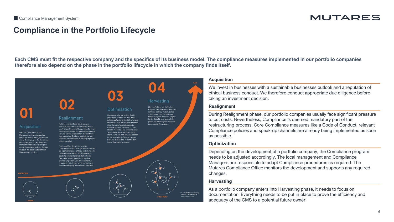#### MUTARES

### **Compliance in the Portfolio Lifecycle**

**Each CMS must fit the respective company and the specifics of its business model. The compliance measures implemented in our portfolio companies therefore also depend on the phase in the portfolio lifecycle in which the company finds itself.**